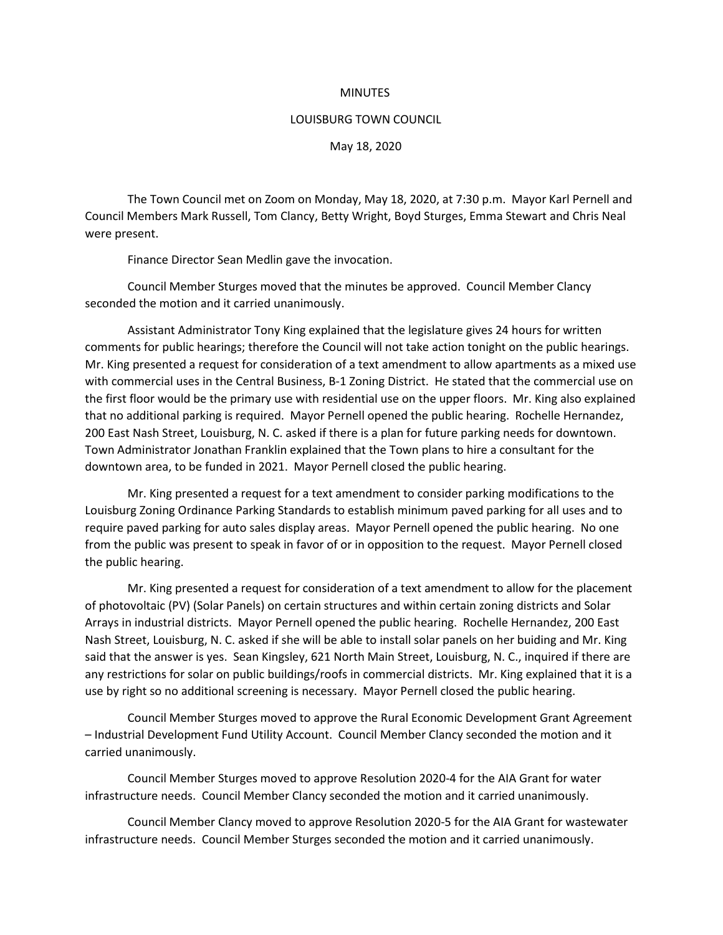## **MINUTES**

## LOUISBURG TOWN COUNCIL

May 18, 2020

The Town Council met on Zoom on Monday, May 18, 2020, at 7:30 p.m. Mayor Karl Pernell and Council Members Mark Russell, Tom Clancy, Betty Wright, Boyd Sturges, Emma Stewart and Chris Neal were present.

Finance Director Sean Medlin gave the invocation.

Council Member Sturges moved that the minutes be approved. Council Member Clancy seconded the motion and it carried unanimously.

Assistant Administrator Tony King explained that the legislature gives 24 hours for written comments for public hearings; therefore the Council will not take action tonight on the public hearings. Mr. King presented a request for consideration of a text amendment to allow apartments as a mixed use with commercial uses in the Central Business, B-1 Zoning District. He stated that the commercial use on the first floor would be the primary use with residential use on the upper floors. Mr. King also explained that no additional parking is required. Mayor Pernell opened the public hearing. Rochelle Hernandez, 200 East Nash Street, Louisburg, N. C. asked if there is a plan for future parking needs for downtown. Town Administrator Jonathan Franklin explained that the Town plans to hire a consultant for the downtown area, to be funded in 2021. Mayor Pernell closed the public hearing.

Mr. King presented a request for a text amendment to consider parking modifications to the Louisburg Zoning Ordinance Parking Standards to establish minimum paved parking for all uses and to require paved parking for auto sales display areas. Mayor Pernell opened the public hearing. No one from the public was present to speak in favor of or in opposition to the request. Mayor Pernell closed the public hearing.

Mr. King presented a request for consideration of a text amendment to allow for the placement of photovoltaic (PV) (Solar Panels) on certain structures and within certain zoning districts and Solar Arrays in industrial districts. Mayor Pernell opened the public hearing. Rochelle Hernandez, 200 East Nash Street, Louisburg, N. C. asked if she will be able to install solar panels on her buiding and Mr. King said that the answer is yes. Sean Kingsley, 621 North Main Street, Louisburg, N. C., inquired if there are any restrictions for solar on public buildings/roofs in commercial districts. Mr. King explained that it is a use by right so no additional screening is necessary. Mayor Pernell closed the public hearing.

Council Member Sturges moved to approve the Rural Economic Development Grant Agreement – Industrial Development Fund Utility Account. Council Member Clancy seconded the motion and it carried unanimously.

Council Member Sturges moved to approve Resolution 2020-4 for the AIA Grant for water infrastructure needs. Council Member Clancy seconded the motion and it carried unanimously.

Council Member Clancy moved to approve Resolution 2020-5 for the AIA Grant for wastewater infrastructure needs. Council Member Sturges seconded the motion and it carried unanimously.